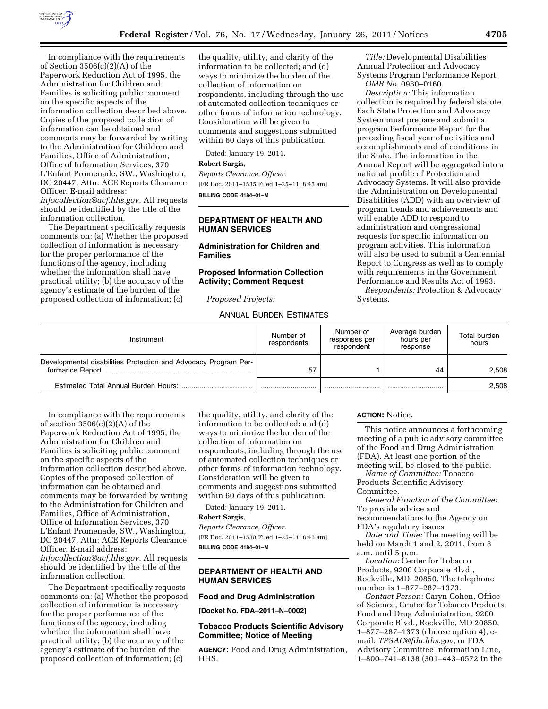

In compliance with the requirements of Section 3506(c)(2)(A) of the Paperwork Reduction Act of 1995, the Administration for Children and Families is soliciting public comment on the specific aspects of the information collection described above. Copies of the proposed collection of information can be obtained and comments may be forwarded by writing to the Administration for Children and Families, Office of Administration, Office of Information Services, 370 L'Enfant Promenade, SW., Washington, DC 20447, Attn: ACE Reports Clearance Officer. E-mail address: *[infocollection@acf.hhs.gov.](mailto:infocollection@acf.hhs.gov)* All requests should be identified by the title of the information collection.

The Department specifically requests comments on: (a) Whether the proposed collection of information is necessary for the proper performance of the functions of the agency, including whether the information shall have practical utility; (b) the accuracy of the agency's estimate of the burden of the proposed collection of information; (c)

the quality, utility, and clarity of the information to be collected; and (d) ways to minimize the burden of the collection of information on respondents, including through the use of automated collection techniques or other forms of information technology. Consideration will be given to comments and suggestions submitted within 60 days of this publication.

Dated: January 19, 2011.

### **Robert Sargis,**

*Reports Clearance, Officer.*  [FR Doc. 2011–1535 Filed 1–25–11; 8:45 am] **BILLING CODE 4184–01–M** 

# **DEPARTMENT OF HEALTH AND HUMAN SERVICES**

# **Administration for Children and Families**

## **Proposed Information Collection Activity; Comment Request**

*Proposed Projects:* 

# ANNUAL BURDEN ESTIMATES

*Title:* Developmental Disabilities Annual Protection and Advocacy Systems Program Performance Report. *OMB No.* 0980–0160.

*Description:* This information collection is required by federal statute. Each State Protection and Advocacy System must prepare and submit a program Performance Report for the preceding fiscal year of activities and accomplishments and of conditions in the State. The information in the Annual Report will be aggregated into a national profile of Protection and Advocacy Systems. It will also provide the Administration on Developmental Disabilities (ADD) with an overview of program trends and achievements and will enable ADD to respond to administration and congressional requests for specific information on program activities. This information will also be used to submit a Centennial Report to Congress as well as to comply with requirements in the Government Performance and Results Act of 1993.

*Respondents:* Protection & Advocacy Systems.

| Instrument                                                      | Number of<br>respondents | Number of<br>responses per<br>respondent | Average burden<br>hours per<br>response | Total burden<br>hours |
|-----------------------------------------------------------------|--------------------------|------------------------------------------|-----------------------------------------|-----------------------|
| Developmental disabilities Protection and Advocacy Program Per- | 57                       |                                          | 44                                      | 2.508                 |
|                                                                 |                          |                                          |                                         | 2,508                 |

In compliance with the requirements of section 3506(c)(2)(A) of the Paperwork Reduction Act of 1995, the Administration for Children and Families is soliciting public comment on the specific aspects of the information collection described above. Copies of the proposed collection of information can be obtained and comments may be forwarded by writing to the Administration for Children and Families, Office of Administration, Office of Information Services, 370 L'Enfant Promenade, SW., Washington, DC 20447, Attn: ACE Reports Clearance Officer. E-mail address: *[infocollection@acf.hhs.gov.](mailto:infocollection@acf.hhs.gov)* All requests should be identified by the title of the information collection.

The Department specifically requests comments on: (a) Whether the proposed collection of information is necessary for the proper performance of the functions of the agency, including whether the information shall have practical utility; (b) the accuracy of the agency's estimate of the burden of the proposed collection of information; (c)

the quality, utility, and clarity of the information to be collected; and (d) ways to minimize the burden of the collection of information on respondents, including through the use of automated collection techniques or other forms of information technology. Consideration will be given to comments and suggestions submitted within 60 days of this publication.

Dated: January 19, 2011.

# **Robert Sargis,**

*Reports Clearance, Officer.*  [FR Doc. 2011–1538 Filed 1–25–11; 8:45 am] **BILLING CODE 4184–01–M** 

# **DEPARTMENT OF HEALTH AND HUMAN SERVICES**

#### **Food and Drug Administration**

**[Docket No. FDA–2011–N–0002]** 

## **Tobacco Products Scientific Advisory Committee; Notice of Meeting**

**AGENCY:** Food and Drug Administration, HHS.

#### **ACTION:** Notice.

This notice announces a forthcoming meeting of a public advisory committee of the Food and Drug Administration (FDA). At least one portion of the meeting will be closed to the public.

*Name of Committee:* Tobacco Products Scientific Advisory Committee.

*General Function of the Committee:*  To provide advice and recommendations to the Agency on

FDA's regulatory issues. *Date and Time:* The meeting will be

held on March 1 and 2, 2011, from 8 a.m. until 5 p.m.

*Location:* Center for Tobacco Products, 9200 Corporate Blvd., Rockville, MD, 20850. The telephone number is 1–877–287–1373.

*Contact Person:* Caryn Cohen, Office of Science, Center for Tobacco Products, Food and Drug Administration, 9200 Corporate Blvd., Rockville, MD 20850, 1–877–287–1373 (choose option 4), email: *[TPSAC@fda.hhs.gov,](mailto:TPSAC@fda.hhs.gov)* or FDA Advisory Committee Information Line, 1–800–741–8138 (301–443–0572 in the